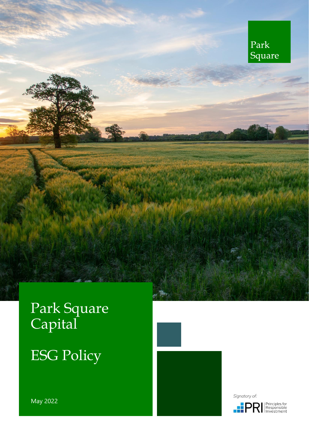

# Park Square Capital

# ESG Policy



Signatory of:



May 2022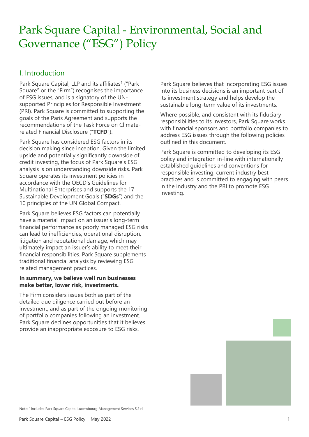# Park Square Capital - Environmental, Social and Governance ("ESG") Policy

### I. Introduction

Park Square Capital, LLP and its affiliates<sup>1</sup> ("Park Square" or the "Firm") recognises the importance of ESG issues, and is a signatory of the UNsupported Principles for Responsible Investment (PRI). Park Square is committed to supporting the goals of the Paris Agreement and supports the recommendations of the Task Force on Climaterelated Financial Disclosure ("**TCFD**").

Park Square has considered ESG factors in its decision making since inception. Given the limited upside and potentially significantly downside of credit investing, the focus of Park Square's ESG analysis is on understanding downside risks. Park Square operates its investment policies in accordance with the OECD's Guidelines for Multinational Enterprises and supports the 17 Sustainable Development Goals ("**SDGs**") and the 10 principles of the UN Global Compact.

Park Square believes ESG factors can potentially have a material impact on an issuer's long-term financial performance as poorly managed ESG risks can lead to inefficiencies, operational disruption, litigation and reputational damage, which may ultimately impact an issuer's ability to meet their financial responsibilities. Park Square supplements traditional financial analysis by reviewing ESG related management practices.

#### **In summary, we believe well run businesses make better, lower risk, investments.**

The Firm considers issues both as part of the detailed due diligence carried out before an investment, and as part of the ongoing monitoring of portfolio companies following an investment. Park Square declines opportunities that it believes provide an inappropriate exposure to ESG risks.

Park Square believes that incorporating ESG issues into its business decisions is an important part of its investment strategy and helps develop the sustainable long-term value of its investments.

Where possible, and consistent with its fiduciary responsibilities to its investors, Park Square works with financial sponsors and portfolio companies to address ESG issues through the following policies outlined in this document.

Park Square is committed to developing its ESG policy and integration in-line with internationally established guidelines and conventions for responsible investing, current industry best practices and is committed to engaging with peers in the industry and the PRI to promote ESG investing.

Note: 1 includes Park Square Capital Luxembourg Management Services S.à r.l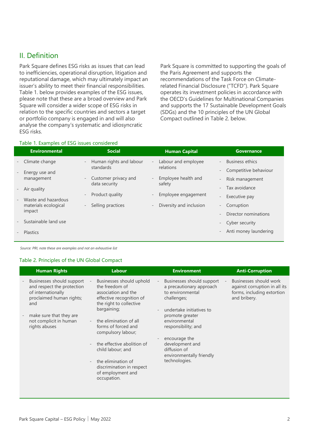### II. Definition

Park Square defines ESG risks as issues that can lead to inefficiencies, operational disruption, litigation and reputational damage, which may ultimately impact an issuer's ability to meet their financial responsibilities. Table 1. below provides examples of the ESG issues, please note that these are a broad overview and Park Square will consider a wider scope of ESG risks in relation to the specific countries and sectors a target or portfolio company is engaged in and will also analyse the company's systematic and idiosyncratic ESG risks.

Park Square is committed to supporting the goals of the Paris Agreement and supports the recommendations of the Task Force on Climaterelated Financial Disclosure ("TCFD"). Park Square operates its investment policies in accordance with the OECD's Guidelines for Multinational Companies and supports the 17 Sustainable Development Goals (SDGs) and the 10 principles of the UN Global Compact outlined in Table 2. below.

#### Table 1. Examples of ESG issues considered

| <b>Environmental</b>                             | <b>Social</b>                                       | <b>Human Capital</b>                            | <b>Governance</b>      |
|--------------------------------------------------|-----------------------------------------------------|-------------------------------------------------|------------------------|
| Climate change<br>$\overline{\phantom{a}}$       | Human rights and labour<br>$\overline{\phantom{a}}$ | Labour and employee<br>$\overline{\phantom{a}}$ | <b>Business ethics</b> |
| Energy use and<br>$\overline{\phantom{a}}$       | standards                                           | relations                                       | Competitive behaviour  |
| management                                       | - Customer privacy and                              | Employee health and                             | Risk management        |
| Air quality<br>$\qquad \qquad -$                 | data security                                       | safety                                          | Tax avoidance          |
| Waste and hazardous<br>$\qquad \qquad -$         | Product quality<br>$\overline{\phantom{a}}$         | Employee engagement                             | Executive pay          |
| materials ecological                             | Selling practices<br>$\overline{\phantom{a}}$       | Diversity and inclusion<br>$\sim$               | Corruption             |
| impact                                           |                                                     |                                                 | Director nominations   |
| Sustainable land use<br>$\overline{\phantom{a}}$ |                                                     |                                                 | - Cyber security       |
| <b>Plastics</b>                                  |                                                     |                                                 | Anti money laundering  |

*Source: PRI, note these are examples and not an exhaustive list*

#### Table 2. Principles of the UN Global Compact

| <b>Human Rights</b>                                                                                              | Labour                                                                                                                                                                                         | <b>Environment</b>                                                                                                                               | <b>Anti-Corruption</b> |
|------------------------------------------------------------------------------------------------------------------|------------------------------------------------------------------------------------------------------------------------------------------------------------------------------------------------|--------------------------------------------------------------------------------------------------------------------------------------------------|------------------------|
| Businesses should support<br>and respect the protection<br>of internationally<br>proclaimed human rights;<br>and | Businesses should uphold<br>the freedom of<br>association and the<br>effective recognition of<br>the right to collective<br>bargaining;                                                        | Businesses should support<br>$\overline{\phantom{a}}$<br>a precautionary approach<br>to environmental<br>challenges;<br>undertake initiatives to |                        |
| make sure that they are<br>not complicit in human<br>rights abuses                                               | the elimination of all<br>forms of forced and<br>compulsory labour;                                                                                                                            | promote greater<br>environmental<br>responsibility; and                                                                                          |                        |
|                                                                                                                  | the effective abolition of<br>$\overline{\phantom{a}}$<br>child labour; and<br>the elimination of<br>$\overline{\phantom{a}}$<br>discrimination in respect<br>of employment and<br>occupation. | encourage the<br>development and<br>diffusion of<br>environmentally friendly<br>technologies.                                                    |                        |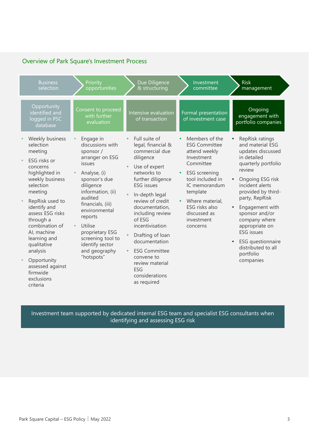### Overview of Park Square's Investment Process

| <b>Business</b><br>selection                                                                                                                                                                                                                                                                                                                              | Priority<br>opportunities                                                                                                                                                                                                                                                                                   | Due Diligence<br>& structuring                                                                                                                                                                                                                                                                                                                                                                                                            | Investment<br>committee                                                                                                                                                                                                                           | <b>Risk</b><br>management                                                                                                                                                                                                                                                                                                                                                                  |
|-----------------------------------------------------------------------------------------------------------------------------------------------------------------------------------------------------------------------------------------------------------------------------------------------------------------------------------------------------------|-------------------------------------------------------------------------------------------------------------------------------------------------------------------------------------------------------------------------------------------------------------------------------------------------------------|-------------------------------------------------------------------------------------------------------------------------------------------------------------------------------------------------------------------------------------------------------------------------------------------------------------------------------------------------------------------------------------------------------------------------------------------|---------------------------------------------------------------------------------------------------------------------------------------------------------------------------------------------------------------------------------------------------|--------------------------------------------------------------------------------------------------------------------------------------------------------------------------------------------------------------------------------------------------------------------------------------------------------------------------------------------------------------------------------------------|
| Opportunity<br>identified and<br>logged in PSC<br>database                                                                                                                                                                                                                                                                                                | Consent to proceed<br>with further<br>evaluation                                                                                                                                                                                                                                                            | Intensive evaluation<br>of transaction                                                                                                                                                                                                                                                                                                                                                                                                    | Formal presentation<br>of investment case                                                                                                                                                                                                         | Ongoing<br>engagement with<br>portfolio companies                                                                                                                                                                                                                                                                                                                                          |
| Weekly business<br>selection<br>meeting<br>ESG risks or<br>concerns<br>highlighted in<br>weekly business<br>selection<br>meeting<br>RepRisk used to<br>identify and<br>assess ESG risks<br>through a<br>combination of<br>Al, machine<br>learning and<br>qualitative<br>analysis<br>Opportunity<br>assessed against<br>firmwide<br>exclusions<br>criteria | Engage in<br>discussions with<br>sponsor /<br>arranger on ESG<br>issues<br>Analyse, (i)<br>sponsor's due<br>diligence<br>information, (ii)<br>audited<br>financials, (iii)<br>environmental<br>reports<br>Utilise<br>proprietary ESG<br>screening tool to<br>identify sector<br>and geography<br>"hotspots" | Full suite of<br>$\bullet$<br>legal, financial &<br>commercial due<br>diligence<br>Use of expert<br>networks to<br>further diligence<br><b>ESG</b> issues<br>In-depth legal<br>$\bullet$<br>review of credit<br>documentation,<br>including review<br>of ESG<br>incentivisation<br>Drafting of loan<br>documentation<br><b>ESG Committee</b><br>$\bullet$<br>convene to<br>review material<br><b>ESG</b><br>considerations<br>as required | Members of the<br><b>ESG Committee</b><br>attend weekly<br>Investment<br>Committee<br><b>ESG</b> screening<br>tool included in<br>IC memorandum<br>template<br>Where material,<br><b>ESG</b> risks also<br>discussed as<br>investment<br>concerns | RepRisk ratings<br>and material ESG<br>updates discussed<br>in detailed<br>quarterly portfolio<br>review<br>Ongoing ESG risk<br>incident alerts<br>provided by third-<br>party, RepRisk<br>Engagement with<br>$\bullet$<br>sponsor and/or<br>company where<br>appropriate on<br><b>ESG</b> issues<br><b>ESG</b> questionnaire<br>$\bullet$<br>distributed to all<br>portfolio<br>companies |

Investment team supported by dedicated internal ESG team and specialist ESG consultants when identifying and assessing ESG risk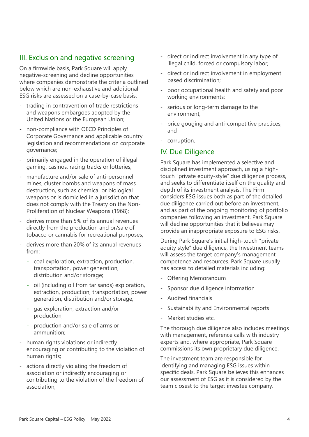#### III. Exclusion and negative screening

On a firmwide basis, Park Square will apply negative-screening and decline opportunities where companies demonstrate the criteria outlined below which are non-exhaustive and additional ESG risks are assessed on a case-by-case basis:

- trading in contravention of trade restrictions and weapons embargoes adopted by the United Nations or the European Union;
- non-compliance with OECD Principles of Corporate Governance and applicable country legislation and recommendations on corporate governance;
- primarily engaged in the operation of illegal gaming, casinos, racing tracks or lotteries;
- manufacture and/or sale of anti-personnel mines, cluster bombs and weapons of mass destruction, such as chemical or biological weapons or is domiciled in a jurisdiction that does not comply with the Treaty on the Non-Proliferation of Nuclear Weapons (1968);
- derives more than 5% of its annual revenues directly from the production and or/sale of tobacco or cannabis for recreational purposes;
- derives more than 20% of its annual revenues from:
	- coal exploration, extraction, production, transportation, power generation, distribution and/or storage;
	- oil (including oil from tar sands) exploration, extraction, production, transportation, power generation, distribution and/or storage;
	- gas exploration, extraction and/or production;
	- production and/or sale of arms or ammunition;
- human rights violations or indirectly encouraging or contributing to the violation of human rights;
- actions directly violating the freedom of association or indirectly encouraging or contributing to the violation of the freedom of association;
- direct or indirect involvement in any type of illegal child, forced or compulsory labor;
- direct or indirect involvement in employment based discrimination;
- poor occupational health and safety and poor working environments;
- serious or long-term damage to the environment;
- price gouging and anti-competitive practices; and
- corruption.

### IV. Due Diligence

Park Square has implemented a selective and disciplined investment approach, using a hightouch "private equity-style" due diligence process, and seeks to differentiate itself on the quality and depth of its investment analysis. The Firm considers ESG issues both as part of the detailed due diligence carried out before an investment, and as part of the ongoing monitoring of portfolio companies following an investment. Park Square will decline opportunities that it believes may provide an inappropriate exposure to ESG risks.

During Park Square's initial high-touch "private equity style" due diligence, the Investment teams will assess the target company's management competence and resources. Park Square usually has access to detailed materials including:

- Offering Memorandum
- Sponsor due diligence information
- Audited financials
- Sustainability and Environmental reports
- Market studies etc.

The thorough due diligence also includes meetings with management, reference calls with industry experts and, where appropriate, Park Square commissions its own proprietary due diligence.

The investment team are responsible for identifying and managing ESG issues within specific deals. Park Square believes this enhances our assessment of ESG as it is considered by the team closest to the target investee company.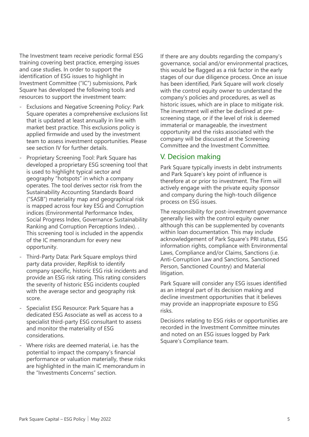The Investment team receive periodic formal ESG training covering best practice, emerging issues and case studies. In order to support the identification of ESG issues to highlight in Investment Committee ("IC") submissions, Park Square has developed the following tools and resources to support the investment team:

- Exclusions and Negative Screening Policy: Park Square operates a comprehensive exclusions list that is updated at least annually in line with market best practice. This exclusions policy is applied firmwide and used by the investment team to assess investment opportunities. Please see section IV for further details.
- Proprietary Screening Tool: Park Square has developed a proprietary ESG screening tool that is used to highlight typical sector and geography "hotspots" in which a company operates. The tool derives sector risk from the Sustainability Accounting Standards Board ("SASB") materiality map and geographical risk is mapped across four key ESG and Corruption indices (Environmental Performance Index, Social Progress Index, Governance Sustainability Ranking and Corruption Perceptions Index). . This screening tool is included in the appendix of the IC memorandum for every new opportunity.
- Third-Party Data: Park Square employs third party data provider, RepRisk to identify company specific, historic ESG risk incidents and provide an ESG risk rating. This rating considers the severity of historic ESG incidents coupled with the average sector and geography risk score.
- Specialist ESG Resource: Park Square has a dedicated ESG Associate as well as access to a specialist third-party ESG consultant to assess and monitor the materiality of ESG considerations.
- Where risks are deemed material, i.e. has the potential to impact the company's financial performance or valuation materially, these risks are highlighted in the main IC memorandum in the "Investments Concerns" section.

If there are any doubts regarding the company's governance, social and/or environmental practices, this would be flagged as a risk factor in the early stages of our due diligence process. Once an issue has been identified, Park Square will work closely with the control equity owner to understand the company's policies and procedures, as well as historic issues, which are in place to mitigate risk. The investment will either be declined at prescreening stage, or if the level of risk is deemed immaterial or manageable, the investment opportunity and the risks associated with the company will be discussed at the Screening Committee and the Investment Committee.

#### V. Decision making

Park Square typically invests in debt instruments and Park Square's key point of influence is therefore at or prior to investment. The Firm will actively engage with the private equity sponsor and company during the high-touch diligence process on ESG issues.

The responsibility for post-investment governance generally lies with the control equity owner although this can be supplemented by covenants within loan documentation. This may include acknowledgement of Park Square's PRI status, ESG information rights, compliance with Environmental Laws, Compliance and/or Claims, Sanctions (i.e. Anti-Corruption Law and Sanctions, Sanctioned Person, Sanctioned Country) and Material litigation.

Park Square will consider any ESG issues identified as an integral part of its decision making and decline investment opportunities that it believes may provide an inappropriate exposure to ESG risks.

Decisions relating to ESG risks or opportunities are recorded in the Investment Committee minutes and noted on an ESG issues logged by Park Square's Compliance team.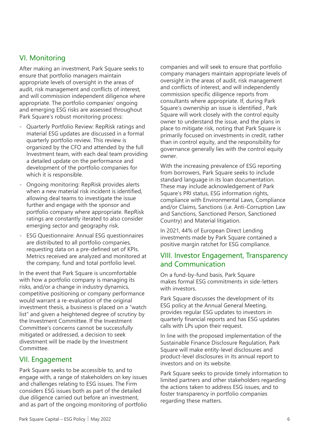### VI. Monitoring

After making an investment, Park Square seeks to ensure that portfolio managers maintain appropriate levels of oversight in the areas of audit, risk management and conflicts of interest, and will commission independent diligence where appropriate. The portfolio companies' ongoing and emerging ESG risks are assessed throughout Park Square's robust monitoring process:

- Quarterly Portfolio Review: RepRisk ratings and material ESG updates are discussed in a formal quarterly portfolio review. This review is organized by the CFO and attended by the full Investment team, with each deal team providing a detailed update on the performance and development of the portfolio companies for which it is responsible.
- Ongoing monitoring: RepRisk provides alerts when a new material risk incident is identified, allowing deal teams to investigate the issue further and engage with the sponsor and portfolio company where appropriate. RepRisk ratings are constantly iterated to also consider emerging sector and geography risk.
- ESG Questionnaire: Annual ESG questionnaires are distributed to all portfolio companies, requesting data on a pre-defined set of KPIs. Metrics received are analyzed and monitored at the company, fund and total portfolio level.

In the event that Park Square is uncomfortable with how a portfolio company is managing its risks, and/or a change in industry dynamics, competitive positioning or company performance would warrant a re-evaluation of the original investment thesis, a business is placed on a "watch list" and given a heightened degree of scrutiny by the Investment Committee. If the Investment Committee's concerns cannot be successfully mitigated or addressed, a decision to seek divestment will be made by the Investment Committee.

#### VII. Engagement

Park Square seeks to be accessible to, and to engage with, a range of stakeholders on key issues and challenges relating to ESG issues. The Firm considers ESG issues both as part of the detailed due diligence carried out before an investment, and as part of the ongoing monitoring of portfolio companies and will seek to ensure that portfolio company managers maintain appropriate levels of oversight in the areas of audit, risk management and conflicts of interest, and will independently commission specific diligence reports from consultants where appropriate. If, during Park Square's ownership an issue is identified , Park Square will work closely with the control equity owner to understand the issue, and the plans in place to mitigate risk, noting that Park Square is primarily focused on investments in credit, rather than in control equity, and the responsibility for governance generally lies with the control equity owner.

With the increasing prevalence of ESG reporting from borrowers, Park Square seeks to include standard language in its loan documentation. These may include acknowledgement of Park Square's PRI status, ESG information rights, compliance with Environmental Laws, Compliance and/or Claims, Sanctions (i.e. Anti-Corruption Law and Sanctions, Sanctioned Person, Sanctioned Country) and Material litigation.

In 2021, 44% of European Direct Lending investments made by Park Square contained a positive margin ratchet for ESG compliance.

#### VIII. Investor Engagement, Transparency and Communication

On a fund-by-fund basis, Park Square makes formal ESG commitments in side-letters with investors

Park Square discusses the development of its ESG policy at the Annual General Meeting, provides regular ESG updates to investors in quarterly financial reports and has ESG updates calls with LPs upon their request.

In line with the proposed implementation of the Sustainable Finance Disclosure Regulation, Park Square will make entity-level disclosures and product-level disclosures in its annual report to investors and on its website.

Park Square seeks to provide timely information to limited partners and other stakeholders regarding the actions taken to address ESG issues, and to foster transparency in portfolio companies regarding these matters.